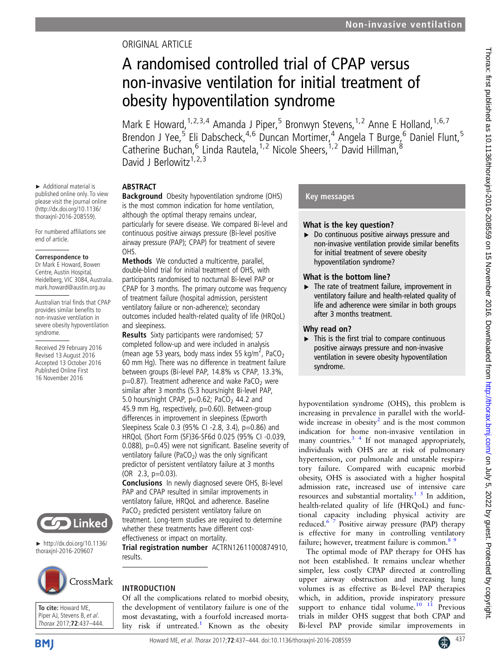# ORIGINAL ARTICLE

# A randomised controlled trial of CPAP versus non-invasive ventilation for initial treatment of obesity hypoventilation syndrome

Mark E Howard, <sup>1, 2, 3, 4</sup> Amanda J Piper, <sup>5</sup> Bronwyn Stevens, <sup>1, 2</sup> Anne E Holland, <sup>1, 6, 7</sup> Brendon J Yee,<sup>5</sup> Eli Dabscheck,<sup>4,6</sup> Duncan Mortimer,<sup>4</sup> Angela T Burge,<sup>6</sup> Daniel Flunt,<sup>5</sup> Catherine Buchan, <sup>6</sup> Linda Rautela, <sup>1, 2</sup> Nicole Sheers, <sup>1, 2</sup> David Hillman, <sup>8</sup> David J Berlowitz<sup>1,2,3</sup>

# ABSTRACT

► Additional material is published online only. To view please visit the journal online (http://dx.doi.org/10.1136/ thoraxjnl-2016-208559). For numbered affiliations see

end of article.

syndrome.

Received 29 February 2016 Revised 13 August 2016 Accepted 13 October 2016 Published Online First 16 November 2016

**Correspondence to** Dr Mark E Howard, Bowen Centre, Austin Hospital, Heidelberg, VIC 3084, Australia. mark.howard@austin.org.au Australian trial finds that CPAP provides similar benefits to non-invasive ventilation in severe obesity hypoventilation

Background Obesity hypoventilation syndrome (OHS) is the most common indication for home ventilation, although the optimal therapy remains unclear, particularly for severe disease. We compared Bi-level and continuous positive airways pressure (Bi-level positive airway pressure (PAP); CPAP) for treatment of severe OHS.

Methods We conducted a multicentre, parallel, double-blind trial for initial treatment of OHS, with participants randomised to nocturnal Bi-level PAP or CPAP for 3 months. The primary outcome was frequency of treatment failure (hospital admission, persistent ventilatory failure or non-adherence); secondary outcomes included health-related quality of life (HRQoL) and sleepiness.

Results Sixty participants were randomised; 57 completed follow-up and were included in analysis (mean age 53 years, body mass index 55 kg/m<sup>2</sup>, PaCO<sub>2</sub> 60 mm Hg). There was no difference in treatment failure between groups (Bi-level PAP, 14.8% vs CPAP, 13.3%,  $p=0.87$ ). Treatment adherence and wake PaCO<sub>2</sub> were similar after 3 months (5.3 hours/night Bi-level PAP, 5.0 hours/night CPAP,  $p=0.62$ ; PaCO<sub>2</sub> 44.2 and 45.9 mm Hg, respectively, p=0.60). Between-group differences in improvement in sleepiness (Epworth Sleepiness Scale 0.3 (95% CI -2.8, 3.4), p=0.86) and HRQoL (Short Form (SF)36-SF6d 0.025 (95% CI -0.039, 0.088), p=0.45) were not significant. Baseline severity of ventilatory failure (PaCO<sub>2</sub>) was the only significant predictor of persistent ventilatory failure at 3 months (OR 2.3, p=0.03).

Conclusions In newly diagnosed severe OHS, Bi-level PAP and CPAP resulted in similar improvements in ventilatory failure, HRQoL and adherence. Baseline PaCO<sub>2</sub> predicted persistent ventilatory failure on treatment. Long-term studies are required to determine whether these treatments have different costeffectiveness or impact on mortality.

Trial registration number [ACTRN12611000874910](http://www.anzctr.org.au/Trial/Registration/TrialReview.aspx?id=343317&isReview=true), results.

# CrossMark

► http://dx.doi.org/10.1136/ thoraxjnl-2016-209607

**Linked** 

**To cite:** Howard ME, Piper AJ, Stevens B, et al. Thorax 2017;**72**:437–444.

# INTRODUCTION

Of all the complications related to morbid obesity, the development of ventilatory failure is one of the most devastating, with a fourfold increased morta-lity risk if untreated.<sup>[1](#page-7-0)</sup> Known as the obesity

#### Key messages

# What is the key question?

▶ Do continuous positive airways pressure and non-invasive ventilation provide similar benefits for initial treatment of severe obesity hypoventilation syndrome?

# What is the bottom line?

 $\blacktriangleright$  The rate of treatment failure, improvement in ventilatory failure and health-related quality of life and adherence were similar in both groups after 3 months treatment.

# Why read on?

 $\blacktriangleright$  This is the first trial to compare continuous positive airways pressure and non-invasive ventilation in severe obesity hypoventilation syndrome.

hypoventilation syndrome (OHS), this problem is increasing in prevalence in parallel with the world-wide increase in obesity<sup>[2](#page-7-0)</sup> and is the most common indication for home non-invasive ventilation in many countries. $3 \frac{4}{1}$  If not managed appropriately, individuals with OHS are at risk of pulmonary hypertension, cor pulmonale and unstable respiratory failure. Compared with eucapnic morbid obesity, OHS is associated with a higher hospital admission rate, increased use of intensive care resources and substantial mortality.<sup>[1 5](#page-7-0)</sup> In addition, health-related quality of life (HRQoL) and functional capacity including physical activity are reduced.<sup>6  $\frac{1}{7}$ </sup> Positive airway pressure (PAP) therapy is effective for many in controlling ventilatory failure; however, treatment failure is common.<sup>89</sup>

The optimal mode of PAP therapy for OHS has not been established. It remains unclear whether simpler, less costly CPAP directed at controlling upper airway obstruction and increasing lung volumes is as effective as Bi-level PAP therapies which, in addition, provide inspiratory pressure support to enhance tidal volume. $10^{-11}$  Previous trials in milder OHS suggest that both CPAP and Bi-level PAP provide similar improvements in

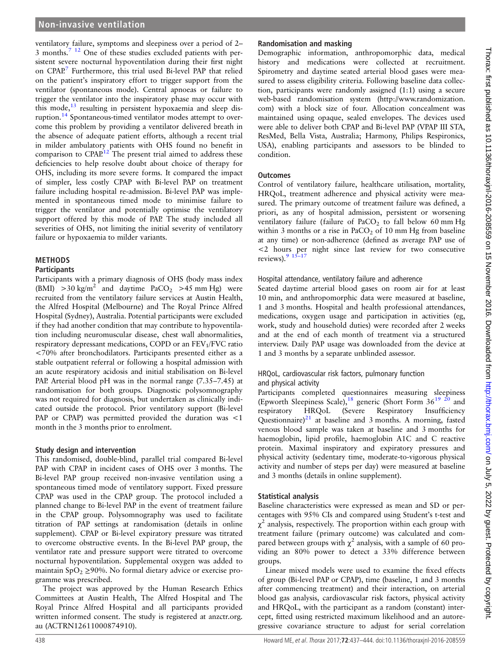ventilatory failure, symptoms and sleepiness over a period of 2– 3 months[.7 12](#page-7-0) One of these studies excluded patients with persistent severe nocturnal hypoventilation during their first night on CPAP.<sup>[7](#page-7-0)</sup> Furthermore, this trial used Bi-level PAP that relied on the patient's inspiratory effort to trigger support from the ventilator (spontaneous mode). Central apnoeas or failure to trigger the ventilator into the inspiratory phase may occur with this mode, $13$  resulting in persistent hypoxaemia and sleep disruption.[14](#page-7-0) Spontaneous-timed ventilator modes attempt to overcome this problem by providing a ventilator delivered breath in the absence of adequate patient efforts, although a recent trial in milder ambulatory patients with OHS found no benefit in comparison to  $CPAP^{12}$  $CPAP^{12}$  $CPAP^{12}$ . The present trial aimed to address these deficiencies to help resolve doubt about choice of therapy for OHS, including its more severe forms. It compared the impact of simpler, less costly CPAP with Bi-level PAP on treatment failure including hospital re-admission. Bi-level PAP was implemented in spontaneous timed mode to minimise failure to trigger the ventilator and potentially optimise the ventilatory support offered by this mode of PAP. The study included all severities of OHS, not limiting the initial severity of ventilatory failure or hypoxaemia to milder variants.

#### **METHODS**

#### Participants

Participants with a primary diagnosis of OHS (body mass index (BMI)  $>30 \text{ kg/m}^2$  and daytime PaCO<sub>2</sub>  $>45 \text{ mm Hg}$ ) were recruited from the ventilatory failure services at Austin Health, the Alfred Hospital (Melbourne) and The Royal Prince Alfred Hospital (Sydney), Australia. Potential participants were excluded if they had another condition that may contribute to hypoventilation including neuromuscular disease, chest wall abnormalities, respiratory depressant medications, COPD or an  $FEV<sub>1</sub>/FVC$  ratio <70% after bronchodilators. Participants presented either as a stable outpatient referral or following a hospital admission with an acute respiratory acidosis and initial stabilisation on Bi-level PAP. Arterial blood pH was in the normal range (7.35–7.45) at randomisation for both groups. Diagnostic polysomnography was not required for diagnosis, but undertaken as clinically indicated outside the protocol. Prior ventilatory support (Bi-level PAP or CPAP) was permitted provided the duration was <1 month in the 3 months prior to enrolment.

#### Study design and intervention

This randomised, double-blind, parallel trial compared Bi-level PAP with CPAP in incident cases of OHS over 3 months. The Bi-level PAP group received non-invasive ventilation using a spontaneous timed mode of ventilatory support. Fixed pressure CPAP was used in the CPAP group. The protocol included a planned change to Bi-level PAP in the event of treatment failure in the CPAP group. Polysomnography was used to facilitate titration of PAP settings at randomisation (details in online [supplement](http://dx.doi.org/10.1136/thoraxjnl-2016-208559)). CPAP or Bi-level expiratory pressure was titrated to overcome obstructive events. In the Bi-level PAP group, the ventilator rate and pressure support were titrated to overcome nocturnal hypoventilation. Supplemental oxygen was added to maintain  $SpO<sub>2</sub> \ge 90\%$ . No formal dietary advice or exercise programme was prescribed.

The project was approved by the Human Research Ethics Committees at Austin Health, The Alfred Hospital and The Royal Prince Alfred Hospital and all participants provided written informed consent. The study is registered at anzctr.org. au (ACTRN12611000874910).

### Randomisation and masking

Demographic information, anthropomorphic data, medical history and medications were collected at recruitment. Spirometry and daytime seated arterial blood gases were measured to assess eligibility criteria. Following baseline data collection, participants were randomly assigned (1:1) using a secure web-based randomisation system ([http://www.randomization.](http://www.randomization.com) [com\)](http://www.randomization.com) with a block size of four. Allocation concealment was maintained using opaque, sealed envelopes. The devices used were able to deliver both CPAP and Bi-level PAP (VPAP III STA, ResMed, Bella Vista, Australia; Harmony, Philips Respironics, USA), enabling participants and assessors to be blinded to condition.

#### **Outcomes**

Control of ventilatory failure, healthcare utilisation, mortality, HRQoL, treatment adherence and physical activity were measured. The primary outcome of treatment failure was defined, a priori, as any of hospital admission, persistent or worsening ventilatory failure (failure of PaCO<sub>2</sub> to fall below 60 mm Hg within 3 months or a rise in PaCO<sub>2</sub> of 10 mm Hg from baseline at any time) or non-adherence (defined as average PAP use of <2 hours per night since last review for two consecutive reviews). $9\frac{15}{2}$  $9\frac{15}{2}$ 

#### Hospital attendance, ventilatory failure and adherence

Seated daytime arterial blood gases on room air for at least 10 min, and anthropomorphic data were measured at baseline, 1 and 3 months. Hospital and health professional attendances, medications, oxygen usage and participation in activities (eg, work, study and household duties) were recorded after 2 weeks and at the end of each month of treatment via a structured interview. Daily PAP usage was downloaded from the device at 1 and 3 months by a separate unblinded assessor.

#### HRQoL, cardiovascular risk factors, pulmonary function and physical activity

Participants completed questionnaires measuring sleepiness (Epworth Sleepiness Scale),<sup>18</sup> generic (Short Form  $36^{19}$   $20$  and respiratory HRQoL (Severe Respiratory Insufficiency Questionnaire) $21$  at baseline and 3 months. A morning, fasted venous blood sample was taken at baseline and 3 months for haemoglobin, lipid profile, haemoglobin A1C and C reactive protein. Maximal inspiratory and expiratory pressures and physical activity (sedentary time, moderate-to-vigorous physical activity and number of steps per day) were measured at baseline and 3 months (details in online [supplement](http://dx.doi.org/10.1136/thoraxjnl-2016-208559)).

#### Statistical analysis

Baseline characteristics were expressed as mean and SD or percentages with 95% CIs and compared using Student's t-test and  $\chi^2$  analysis, respectively. The proportion within each group with treatment failure (primary outcome) was calculated and compared between groups with  $\chi^2$  analysis, with a sample of 60 providing an 80% power to detect a 33% difference between groups.

Linear mixed models were used to examine the fixed effects of group (Bi-level PAP or CPAP), time (baseline, 1 and 3 months after commencing treatment) and their interaction, on arterial blood gas analysis, cardiovascular risk factors, physical activity and HRQoL, with the participant as a random (constant) intercept, fitted using restricted maximum likelihood and an autoregressive covariance structure to adjust for serial correlation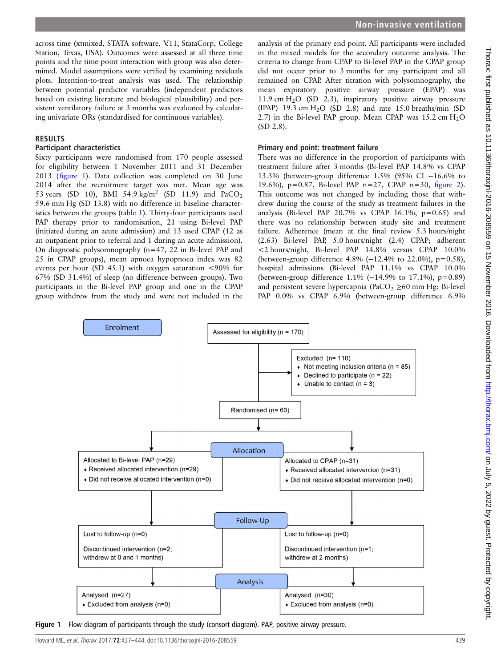across time (xtmixed, STATA software, V.11, StataCorp, College Station, Texas, USA). Outcomes were assessed at all three time points and the time point interaction with group was also determined. Model assumptions were verified by examining residuals plots. Intention-to-treat analysis was used. The relationship between potential predictor variables (independent predictors based on existing literature and biological plausibility) and persistent ventilatory failure at 3 months was evaluated by calculating univariate ORs (standardised for continuous variables).

#### RESULTS

#### Participant characteristics

Sixty participants were randomised from 170 people assessed for eligibility between 1 November 2011 and 31 December 2013 (figure 1). Data collection was completed on 30 June 2014 after the recruitment target was met. Mean age was 53 years (SD 10), BMI 54.9 kg/m<sup>2</sup> (SD 11.9) and PaCO<sub>2</sub> 59.6 mm Hg (SD 13.8) with no difference in baseline characteristics between the groups ([table 1\)](#page-3-0). Thirty-four participants used PAP therapy prior to randomisation, 21 using Bi-level PAP (initiated during an acute admission) and 13 used CPAP (12 as an outpatient prior to referral and 1 during an acute admission). On diagnostic polysomnography (n=47, 22 in Bi-level PAP and 25 in CPAP groups), mean apnoea hypopnoea index was 82 events per hour (SD 45.1) with oxygen saturation <90% for 67% (SD 31.4%) of sleep (no difference between groups). Two participants in the Bi-level PAP group and one in the CPAP group withdrew from the study and were not included in the

analysis of the primary end point. All participants were included in the mixed models for the secondary outcome analysis. The criteria to change from CPAP to Bi-level PAP in the CPAP group did not occur prior to 3 months for any participant and all remained on CPAP. After titration with polysomnography, the mean expiratory positive airway pressure (EPAP) was 11.9 cm H2O (SD 2.3), inspiratory positive airway pressure (IPAP) 19.3 cm  $H<sub>2</sub>O$  (SD 2.8) and rate 15.0 breaths/min (SD 2.7) in the Bi-level PAP group. Mean CPAP was  $15.2 \text{ cm H}_2\text{O}$ (SD 2.8).

#### Primary end point: treatment failure

There was no difference in the proportion of participants with treatment failure after 3 months (Bi-level PAP 14.8% vs CPAP 13.3% (between-group difference 1.5% (95% CI −16.6% to 19.6%), p=0.87, Bi-level PAP n=27, CPAP n=30, fi[gure 2\)](#page-3-0). This outcome was not changed by including those that withdrew during the course of the study as treatment failures in the analysis (Bi-level PAP 20.7% vs CPAP 16.1%,  $p=0.65$ ) and there was no relationship between study site and treatment failure. Adherence (mean at the final review 5.3 hours/night (2.63) Bi-level PAP, 5.0 hours/night (2.4) CPAP; adherent <2 hours/night, Bi-level PAP 14.8% versus CPAP 10.0% (between-group difference 4.8% (−12.4% to 22.0%), p=0.58), hospital admissions (Bi-level PAP 11.1% vs CPAP 10.0% (between-group difference 1.1% (−14.9% to 17.1%), p=0.89) and persistent severe hypercapnia (PaCO<sub>2</sub>  $\geq$ 60 mm Hg: Bi-level PAP 0.0% vs CPAP 6.9% (between-group difference 6.9%



Figure 1 Flow diagram of participants through the study (consort diagram). PAP, positive airway pressure.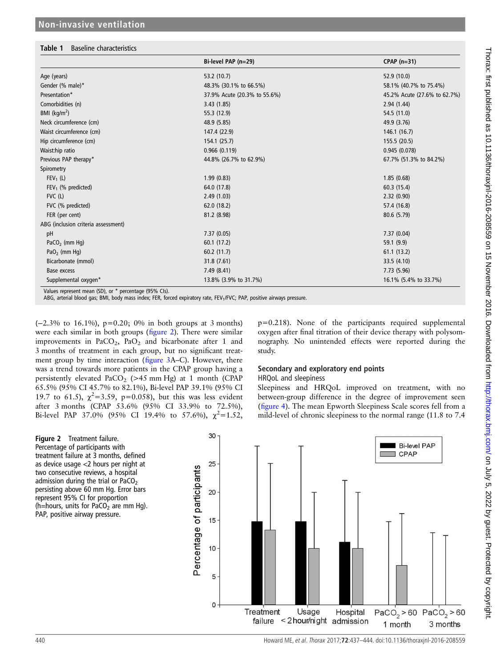#### <span id="page-3-0"></span>Table 1 Baseline characteristics

|                                     | Bi-level PAP (n=29)          | $CPAP$ (n=31)                |  |
|-------------------------------------|------------------------------|------------------------------|--|
| Age (years)                         | 53.2 (10.7)                  | 52.9 (10.0)                  |  |
| Gender (% male)*                    | 48.3% (30.1% to 66.5%)       | 58.1% (40.7% to 75.4%)       |  |
| Presentation*                       | 37.9% Acute (20.3% to 55.6%) | 45.2% Acute (27.6% to 62.7%) |  |
| Comorbidities (n)                   | 3.43(1.85)                   | 2.94(1.44)                   |  |
| BMI ( $\text{kg/m}^2$ )             | 55.3 (12.9)                  | 54.5 (11.0)                  |  |
| Neck circumference (cm)             | 48.9 (5.85)                  | 49.9 (3.76)                  |  |
| Waist circumference (cm)            | 147.4 (22.9)                 | 146.1 (16.7)                 |  |
| Hip circumference (cm)              | 154.1 (25.7)                 | 155.5 (20.5)                 |  |
| Waist:hip ratio                     | 0.966(0.119)                 | 0.945(0.078)                 |  |
| Previous PAP therapy*               | 44.8% (26.7% to 62.9%)       | 67.7% (51.3% to 84.2%)       |  |
| Spirometry                          |                              |                              |  |
| $FEV_1(L)$                          | 1.99(0.83)                   | 1.85(0.68)                   |  |
| $FEV1$ (% predicted)                | 64.0 (17.8)                  | 60.3(15.4)                   |  |
| $FVC$ (L)                           | 2.49(1.03)                   | 2.32(0.90)                   |  |
| FVC (% predicted)                   | 62.0(18.2)                   | 57.4 (16.8)                  |  |
| FER (per cent)                      | 81.2 (8.98)                  | 80.6 (5.79)                  |  |
| ABG (inclusion criteria assessment) |                              |                              |  |
| pH                                  | 7.37(0.05)                   | 7.37(0.04)                   |  |
| PaCO <sub>2</sub> (mm Hq)           | 60.1 (17.2)                  | 59.1 (9.9)                   |  |
| PaO <sub>2</sub> (mm Hq)            | 60.2(11.7)                   | 61.1(13.2)                   |  |
| Bicarbonate (mmol)                  | 31.8 (7.61)                  | 33.5 (4.10)                  |  |
| Base excess                         | 7.49 (8.41)                  | 7.73 (5.96)                  |  |
| Supplemental oxygen*                | 13.8% (3.9% to 31.7%)        | 16.1% (5.4% to 33.7%)        |  |

Values represent mean (SD), or \* percentage (95% CIs).

ABG, arterial blood gas; BMI, body mass index; FER, forced expiratory rate, FEV<sub>1</sub>/FVC; PAP, positive airways pressure.

(−2.3% to 16.1%), p=0.20; 0% in both groups at 3 months) were each similar in both groups (figure 2). There were similar improvements in PaCO<sub>2</sub>, PaO<sub>2</sub> and bicarbonate after 1 and 3 months of treatment in each group, but no significant treatment group by time interaction (fi[gure 3A](#page-4-0)–C). However, there was a trend towards more patients in the CPAP group having a persistently elevated PaCO<sub>2</sub> ( $>45$  mm Hg) at 1 month (CPAP 65.5% (95% CI 45.7% to 82.1%), Bi-level PAP 39.1% (95% CI 19.7 to 61.5),  $\chi^2$ =3.59, p=0.058), but this was less evident after 3 months (CPAP 53.6% (95% CI 33.9% to 72.5%), Bi-level PAP 37.0% (95% CI 19.4% to 57.6%),  $\chi^2 = 1.52$ ,

p=0.218). None of the participants required supplemental oxygen after final titration of their device therapy with polysomnography. No unintended effects were reported during the study.

#### Secondary and exploratory end points

#### HRQoL and sleepiness

Sleepiness and HRQoL improved on treatment, with no between-group difference in the degree of improvement seen (fi[gure 4\)](#page-5-0). The mean Epworth Sleepiness Scale scores fell from a mild-level of chronic sleepiness to the normal range (11.8 to 7.4



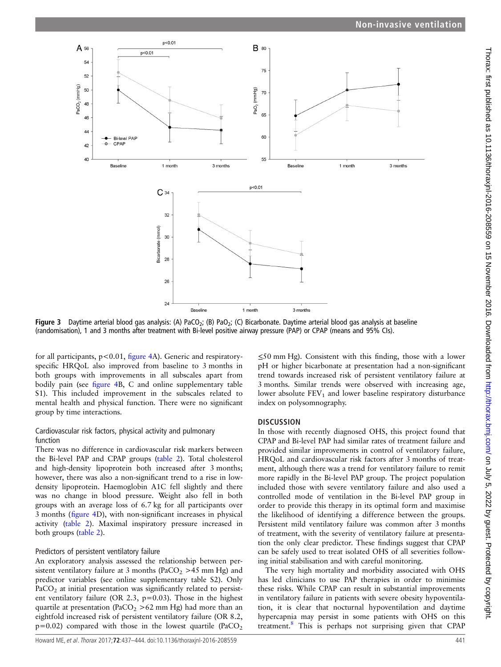<span id="page-4-0"></span>

Figure 3 Daytime arterial blood gas analysis: (A) PaCO<sub>2</sub>; (B) PaO<sub>2</sub>; (C) Bicarbonate. Daytime arterial blood gas analysis at baseline (randomisation), 1 and 3 months after treatment with Bi-level positive airway pressure (PAP) or CPAP (means and 95% CIs).

for all participants,  $p < 0.01$ , fi[gure 4](#page-5-0)A). Generic and respiratoryspecific HRQoL also improved from baseline to 3 months in both groups with improvements in all subscales apart from bodily pain (see fi[gure 4B](#page-5-0), C and online [supplementary table](http://dx.doi.org/10.1136/thoraxjnl-2016-208559) [S1](http://dx.doi.org/10.1136/thoraxjnl-2016-208559)). This included improvement in the subscales related to mental health and physical function. There were no significant group by time interactions.

#### Cardiovascular risk factors, physical activity and pulmonary function

There was no difference in cardiovascular risk markers between the Bi-level PAP and CPAP groups ([table 2](#page-6-0)). Total cholesterol and high-density lipoprotein both increased after 3 months; however, there was also a non-significant trend to a rise in lowdensity lipoprotein. Haemoglobin A1C fell slightly and there was no change in blood pressure. Weight also fell in both groups with an average loss of 6.7 kg for all participants over 3 months (fi[gure 4D](#page-5-0)), with non-significant increases in physical activity ([table 2\)](#page-6-0). Maximal inspiratory pressure increased in both groups ([table 2\)](#page-6-0).

#### Predictors of persistent ventilatory failure

An exploratory analysis assessed the relationship between persistent ventilatory failure at 3 months (PaCO<sub>2</sub> > 45 mm Hg) and predictor variables (see online [supplementary table S2\)](http://dx.doi.org/10.1136/thoraxjnl-2016-208559). Only  $PaCO<sub>2</sub>$  at initial presentation was significantly related to persistent ventilatory failure (OR 2.3,  $p=0.03$ ). Those in the highest quartile at presentation (PaCO<sub>2</sub>  $>62$  mm Hg) had more than an eightfold increased risk of persistent ventilatory failure (OR 8.2,  $p=0.02$ ) compared with those in the lowest quartile (PaCO<sub>2</sub>)

≤50 mm Hg). Consistent with this finding, those with a lower pH or higher bicarbonate at presentation had a non-significant trend towards increased risk of persistent ventilatory failure at 3 months. Similar trends were observed with increasing age, lower absolute  $FEV<sub>1</sub>$  and lower baseline respiratory disturbance index on polysomnography.

#### **DISCUSSION**

In those with recently diagnosed OHS, this project found that CPAP and Bi-level PAP had similar rates of treatment failure and provided similar improvements in control of ventilatory failure, HRQoL and cardiovascular risk factors after 3 months of treatment, although there was a trend for ventilatory failure to remit more rapidly in the Bi-level PAP group. The project population included those with severe ventilatory failure and also used a controlled mode of ventilation in the Bi-level PAP group in order to provide this therapy in its optimal form and maximise the likelihood of identifying a difference between the groups. Persistent mild ventilatory failure was common after 3 months of treatment, with the severity of ventilatory failure at presentation the only clear predictor. These findings suggest that CPAP can be safely used to treat isolated OHS of all severities following initial stabilisation and with careful monitoring.

The very high mortality and morbidity associated with OHS has led clinicians to use PAP therapies in order to minimise these risks. While CPAP can result in substantial improvements in ventilatory failure in patients with severe obesity hypoventilation, it is clear that nocturnal hypoventilation and daytime hypercapnia may persist in some patients with OHS on this treatment.[8](#page-7-0) This is perhaps not surprising given that CPAP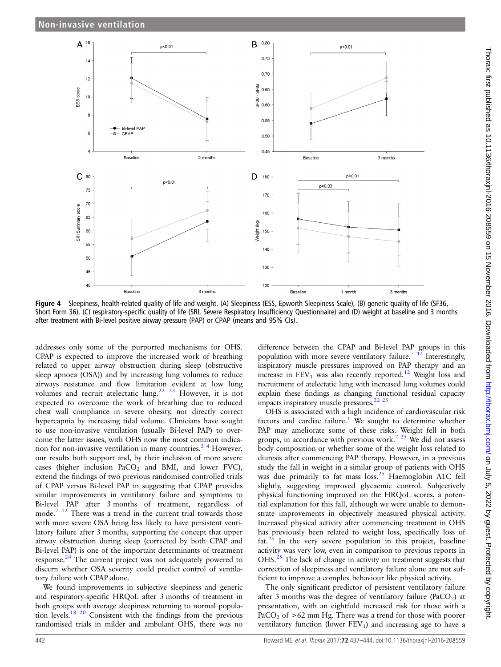<span id="page-5-0"></span>

Figure 4 Sleepiness, health-related quality of life and weight. (A) Sleepiness (ESS, Epworth Sleepiness Scale), (B) generic quality of life (SF36, Short Form 36), (C) respiratory-specific quality of life (SRI, Severe Respiratory Insufficiency Questionnaire) and (D) weight at baseline and 3 months after treatment with Bi-level positive airway pressure (PAP) or CPAP (means and 95% CIs).

addresses only some of the purported mechanisms for OHS. CPAP is expected to improve the increased work of breathing related to upper airway obstruction during sleep (obstructive sleep apnoea (OSA)) and by increasing lung volumes to reduce airways resistance and flow limitation evident at low lung volumes and recruit atelectatic lung.<sup>22</sup> <sup>23</sup> However, it is not expected to overcome the work of breathing due to reduced chest wall compliance in severe obesity, nor directly correct hypercapnia by increasing tidal volume. Clinicians have sought to use non-invasive ventilation (usually Bi-level PAP) to overcome the latter issues, with OHS now the most common indication for non-invasive ventilation in many countries.<sup>3</sup> <sup>4</sup> However, our results both support and, by their inclusion of more severe cases (higher inclusion  $PaCO<sub>2</sub>$  and BMI, and lower FVC), extend the findings of two previous randomised controlled trials of CPAP versus Bi-level PAP in suggesting that CPAP provides similar improvements in ventilatory failure and symptoms to Bi-level PAP after 3 months of treatment, regardless of mode.<sup>[7 12](#page-7-0)</sup> There was a trend in the current trial towards those with more severe OSA being less likely to have persistent ventilatory failure after 3 months, supporting the concept that upper airway obstruction during sleep (corrected by both CPAP and Bi-level PAP) is one of the important determinants of treatment response.<sup>24</sup> The current project was not adequately powered to discern whether OSA severity could predict control of ventilatory failure with CPAP alone.

We found improvements in subjective sleepiness and generic and respiratory-specific HRQoL after 3 months of treatment in both groups with average sleepiness returning to normal population levels[.18 20](#page-7-0) Consistent with the findings from the previous randomised trials in milder and ambulant OHS, there was no

difference between the CPAP and Bi-level PAP groups in this population with more severe ventilatory failure.<sup>7</sup> <sup>12</sup> Interestingly, inspiratory muscle pressures improved on PAP therapy and an increase in  $FEV_1$  was also recently reported.<sup>12</sup> Weight loss and recruitment of atelectatic lung with increased lung volumes could explain these findings as changing functional residual capacity impacts inspiratory muscle pressures.<sup>[22 23](#page-7-0)</sup>

OHS is associated with a high incidence of cardiovascular risk factors and cardiac failure.<sup>[1](#page-7-0)</sup> We sought to determine whether PAP may ameliorate some of these risks. Weight fell in both groups, in accordance with previous work.<sup>[7 25](#page-7-0)</sup> We did not assess body composition or whether some of the weight loss related to diuresis after commencing PAP therapy. However, in a previous study the fall in weight in a similar group of patients with OHS was due primarily to fat mass loss.<sup>[25](#page-7-0)</sup> Haemoglobin A1C fell slightly, suggesting improved glycaemic control. Subjectively physical functioning improved on the HRQoL scores, a potential explanation for this fall, although we were unable to demonstrate improvements in objectively measured physical activity. Increased physical activity after commencing treatment in OHS has previously been related to weight loss, specifically loss of  $\text{fat.}^{25}$  $\text{fat.}^{25}$  $\text{fat.}^{25}$  In the very severe population in this project, baseline activity was very low, even in comparison to previous reports in OHS.<sup>25</sup> The lack of change in activity on treatment suggests that correction of sleepiness and ventilatory failure alone are not sufficient to improve a complex behaviour like physical activity.

The only significant predictor of persistent ventilatory failure after 3 months was the degree of ventilatory failure (PaCO<sub>2</sub>) at presentation, with an eightfold increased risk for those with a PaCO<sub>2</sub> of  $>62$  mm Hg. There was a trend for those with poorer ventilatory function (lower  $FEV<sub>1</sub>$ ) and increasing age to have a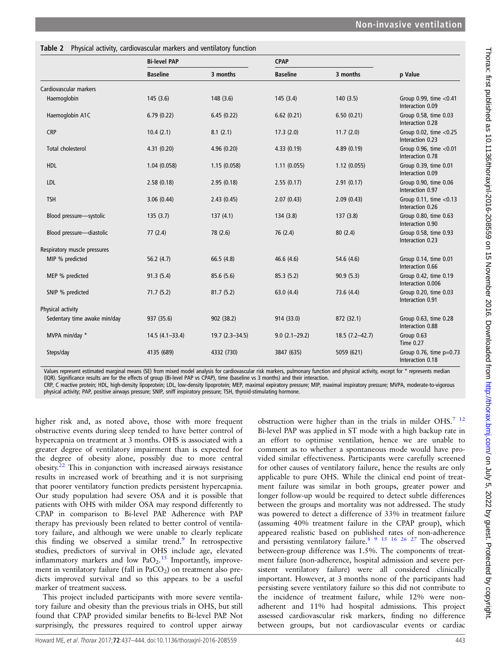<span id="page-6-0"></span>

|                              | <b>Bi-level PAP</b> |                    |                   | <b>CPAP</b>        |                                                  |
|------------------------------|---------------------|--------------------|-------------------|--------------------|--------------------------------------------------|
|                              | <b>Baseline</b>     | 3 months           | <b>Baseline</b>   | 3 months           | p Value                                          |
| Cardiovascular markers       |                     |                    |                   |                    |                                                  |
| Haemoglobin                  | 145(3.6)            | 148 (3.6)          | 145(3.4)          | 140(3.5)           | Group 0.99, time $<$ 0.41<br>Interaction 0.09    |
| Haemoglobin A1C              | 6.79(0.22)          | 6.45(0.22)         | 6.62(0.21)        | 6.50(0.21)         | Group 0.58, time 0.03<br>Interaction 0.28        |
| <b>CRP</b>                   | 10.4(2.1)           | 8.1(2.1)           | 17.3(2.0)         | 11.7(2.0)          | Group 0.02, time <0.25<br>Interaction 0.23       |
| <b>Total cholesterol</b>     | 4.31(0.20)          | 4.96(0.20)         | 4.33(0.19)        | 4.89(0.19)         | Group 0.96, time <0.01<br>Interaction 0.78       |
| <b>HDL</b>                   | 1.04(0.058)         | 1.15(0.058)        | 1.11(0.055)       | 1.12(0.055)        | Group 0.39, time 0.01<br>Interaction 0.09        |
| <b>LDL</b>                   | 2.58(0.18)          | 2.95(0.18)         | 2.55(0.17)        | 2.91(0.17)         | Group 0.90, time 0.06<br>Interaction 0.97        |
| <b>TSH</b>                   | 3.06(0.44)          | 2.43(0.45)         | 2.07(0.43)        | 2.09(0.43)         | Group $0.11$ , time < $0.13$<br>Interaction 0.26 |
| Blood pressure-systolic      | 135(3.7)            | 137(4.1)           | 134(3.8)          | 137(3.8)           | Group 0.80, time 0.63<br>Interaction 0.90        |
| Blood pressure-diastolic     | 77(2.4)             | 78 (2.6)           | 76 (2.4)          | 80(2.4)            | Group 0.58, time 0.93<br>Interaction 0.23        |
| Respiratory muscle pressures |                     |                    |                   |                    |                                                  |
| MIP % predicted              | 56.2(4.7)           | 66.5 (4.8)         | 46.6(4.6)         | 54.6 (4.6)         | Group 0.14, time 0.01<br>Interaction 0.66        |
| MEP % predicted              | 91.3(5.4)           | 85.6(5.6)          | 85.3(5.2)         | 90.9(5.3)          | Group 0.42, time 0.19<br>Interaction 0.006       |
| SNIP % predicted             | 71.7(5.2)           | 81.7(5.2)          | 63.0 $(4.4)$      | 73.6 (4.4)         | Group 0.20, time 0.03<br>Interaction 0.91        |
| Physical activity            |                     |                    |                   |                    |                                                  |
| Sedentary time awake min/day | 937 (35.6)          | 902 (38.2)         | 914 (33.0)        | 872 (32.1)         | Group 0.63, time 0.28<br>Interaction 0.88        |
| MVPA min/day *               | $14.5(4.1 - 33.4)$  | $19.7(2.3 - 34.5)$ | $9.0(2.1 - 29.2)$ | $18.5(7.2 - 42.7)$ | Group 0.63<br><b>Time 0.27</b>                   |
| Steps/day                    | 4135 (689)          | 4332 (730)         | 3847 (635)        | 5059 (621)         | Group $0.76$ , time $p=0.73$<br>Interaction 0.18 |

Values represent estimated marginal means (SE) from mixed model analysis for cardiovascular risk markers, pulmonary function and physical activity, except for \* represents median (IQR). Significance results are for the effects of group (Bi-level PAP vs CPAP), time (baseline vs 3 months) and their interaction.

CRP, C reactive protein; HDL, high-density lipoprotein; LDL, low-density lipoprotein; MEP, maximal expiratory pressure; MIP, maximal inspiratory pressure; MVPA, moderate-to-vigorous physical activity; PAP, positive airways pressure; SNIP, sniff inspiratory pressure; TSH, thyroid-stimulating hormone.

higher risk and, as noted above, those with more frequent obstructive events during sleep tended to have better control of hypercapnia on treatment at 3 months. OHS is associated with a greater degree of ventilatory impairment than is expected for the degree of obesity alone, possibly due to more central  $\omega$ obesity.<sup>[22](#page-7-0)</sup> This in conjunction with increased airways resistance results in increased work of breathing and it is not surprising that poorer ventilatory function predicts persistent hypercapnia. Our study population had severe OSA and it is possible that patients with OHS with milder OSA may respond differently to CPAP in comparison to Bi-level PAP. Adherence with PAP therapy has previously been related to better control of ventilatory failure, and although we were unable to clearly replicate this finding we observed a similar trend.<sup>[9](#page-7-0)</sup> In retrospective studies, predictors of survival in OHS include age, elevated inflammatory markers and low  $PaO<sub>2</sub>$ .<sup>[15](#page-7-0)</sup> Importantly, improvement in ventilatory failure (fall in  $PaCO<sub>2</sub>$ ) on treatment also predicts improved survival and so this appears to be a useful marker of treatment success.

This project included participants with more severe ventilatory failure and obesity than the previous trials in OHS, but still found that CPAP provided similar benefits to Bi-level PAP. Not surprisingly, the pressures required to control upper airway

obstruction were higher than in the trials in milder OHS.<sup>7</sup> <sup>12</sup> Bi-level PAP was applied in ST mode with a high backup rate in an effort to optimise ventilation, hence we are unable to comment as to whether a spontaneous mode would have provided similar effectiveness. Participants were carefully screened for other causes of ventilatory failure, hence the results are only applicable to pure OHS. While the clinical end point of treatment failure was similar in both groups, greater power and longer follow-up would be required to detect subtle differences between the groups and mortality was not addressed. The study was powered to detect a difference of 33% in treatment failure (assuming 40% treatment failure in the CPAP group), which appeared realistic based on published rates of non-adherence and persisting ventilatory failure.<sup>8</sup> <sup>9</sup> <sup>15</sup> <sup>16</sup> <sup>26</sup> <sup>27</sup> The observed between-group difference was 1.5%. The components of treatment failure (non-adherence, hospital admission and severe persistent ventilatory failure) were all considered clinically important. However, at 3 months none of the participants had persisting severe ventilatory failure so this did not contribute to the incidence of treatment failure, while 12% were nonadherent and 11% had hospital admissions. This project assessed cardiovascular risk markers, finding no difference between groups, but not cardiovascular events or cardiac